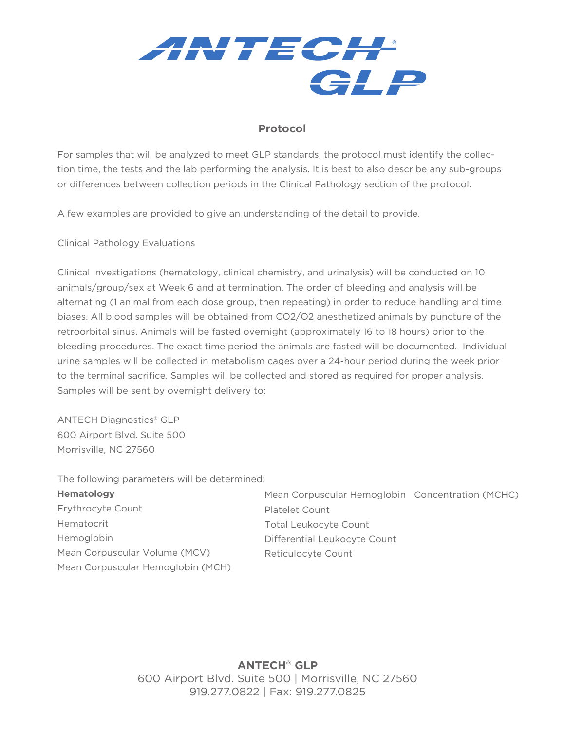

## **Protocol**

For samples that will be analyzed to meet GLP standards, the protocol must identify the collection time, the tests and the lab performing the analysis. It is best to also describe any sub-groups or differences between collection periods in the Clinical Pathology section of the protocol.

A few examples are provided to give an understanding of the detail to provide.

Clinical Pathology Evaluations

Clinical investigations (hematology, clinical chemistry, and urinalysis) will be conducted on 10 animals/group/sex at Week 6 and at termination. The order of bleeding and analysis will be alternating (1 animal from each dose group, then repeating) in order to reduce handling and time biases. All blood samples will be obtained from CO2/O2 anesthetized animals by puncture of the retroorbital sinus. Animals will be fasted overnight (approximately 16 to 18 hours) prior to the bleeding procedures. The exact time period the animals are fasted will be documented. Individual urine samples will be collected in metabolism cages over a 24-hour period during the week prior to the terminal sacrifice. Samples will be collected and stored as required for proper analysis. Samples will be sent by overnight delivery to:

ANTECH Diagnostics® GLP 600 Airport Blvd. Suite 500 Morrisville, NC 27560

The following parameters will be determined:

| <b>Hematology</b>                 | Mean Corpuscular Hemoglobin Concentration (MCHC) |  |
|-----------------------------------|--------------------------------------------------|--|
| Erythrocyte Count                 | <b>Platelet Count</b>                            |  |
| Hematocrit                        | <b>Total Leukocyte Count</b>                     |  |
| Hemoglobin                        | Differential Leukocyte Count                     |  |
| Mean Corpuscular Volume (MCV)     | Reticulocyte Count                               |  |
| Mean Corpuscular Hemoglobin (MCH) |                                                  |  |

**ANTECH® GLP** 600 Airport Blvd. Suite 500 | Morrisville, NC 27560 919.277.0822 | Fax: 919.277.0825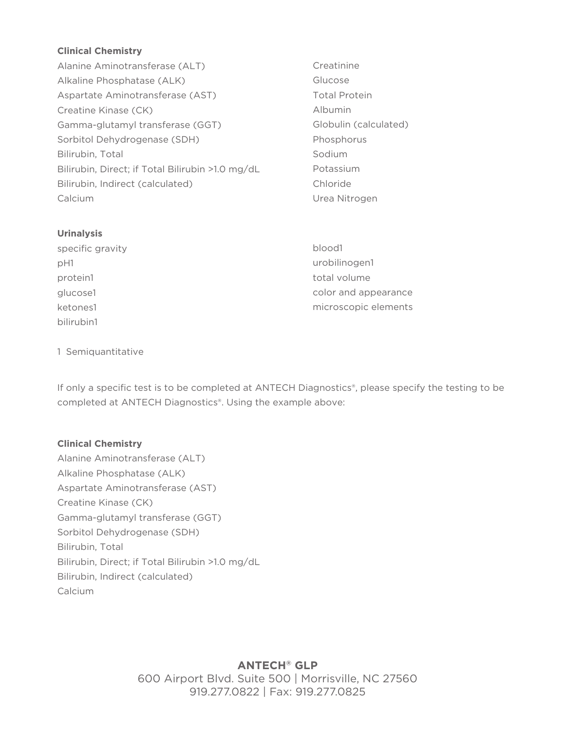### **Clinical Chemistry**

- Alanine Aminotransferase (ALT) Alkaline Phosphatase (ALK) Aspartate Aminotransferase (AST) Creatine Kinase (CK) Gamma-glutamyl transferase (GGT) Sorbitol Dehydrogenase (SDH) Bilirubin, Total Bilirubin, Direct; if Total Bilirubin >1.0 mg/dL Bilirubin, Indirect (calculated) Calcium
- Creatinine Glucose Total Protein Albumin Globulin (calculated) Phosphorus Sodium Potassium Chloride Urea Nitrogen

#### **Urinalysis**

specific gravity pH1 protein1 glucose1 ketones1 bilirubin1

blood1 urobilinogen1 total volume color and appearance microscopic elements

#### 1 Semiquantitative

If only a specific test is to be completed at ANTECH Diagnostics®, please specify the testing to be completed at ANTECH Diagnostics®. Using the example above:

#### **Clinical Chemistry**

Alanine Aminotransferase (ALT) Alkaline Phosphatase (ALK) Aspartate Aminotransferase (AST) Creatine Kinase (CK) Gamma-glutamyl transferase (GGT) Sorbitol Dehydrogenase (SDH) Bilirubin, Total Bilirubin, Direct; if Total Bilirubin >1.0 mg/dL Bilirubin, Indirect (calculated) Calcium

> **ANTECH® GLP** 600 Airport Blvd. Suite 500 | Morrisville, NC 27560 919.277.0822 | Fax: 919.277.0825